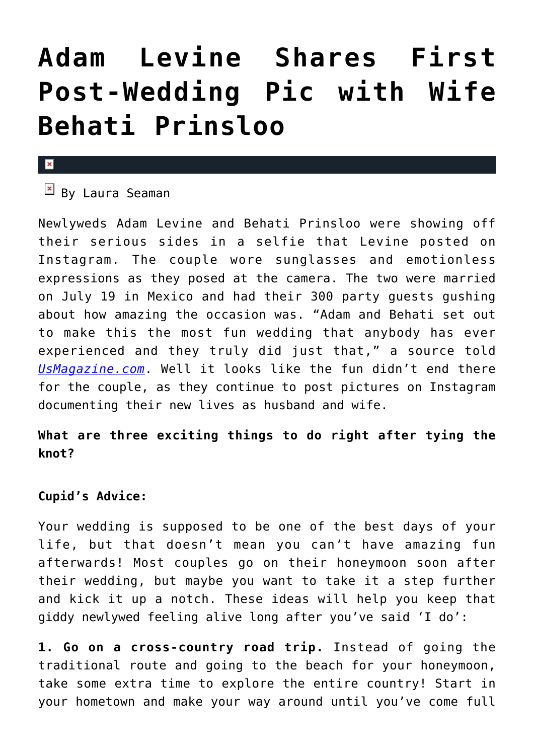## **[Adam Levine Shares First](https://cupidspulse.com/78905/adam-levine-behati-prinsloo-photo/) [Post-Wedding Pic with Wife](https://cupidspulse.com/78905/adam-levine-behati-prinsloo-photo/) [Behati Prinsloo](https://cupidspulse.com/78905/adam-levine-behati-prinsloo-photo/)**

## $\pmb{\times}$

 $\overline{B}$  By Laura Seaman

Newlyweds Adam Levine and Behati Prinsloo were showing off their serious sides in a selfie that Levine posted on Instagram. The couple wore sunglasses and emotionless expressions as they posed at the camera. The two were married on July 19 in Mexico and had their 300 party guests gushing about how amazing the occasion was. "Adam and Behati set out to make this the most fun wedding that anybody has ever experienced and they truly did just that," a source told *[UsMagazine.com](http://www.usmagazine.com/celebrity-news/news/adam-levine-shares-first-picture-with-behati-prinsloo-since-wedding-201448)*. Well it looks like the fun didn't end there for the couple, as they continue to post pictures on Instagram documenting their new lives as husband and wife.

## **What are three exciting things to do right after tying the knot?**

## **Cupid's Advice:**

Your wedding is supposed to be one of the best days of your life, but that doesn't mean you can't have amazing fun afterwards! Most couples go on their honeymoon soon after their wedding, but maybe you want to take it a step further and kick it up a notch. These ideas will help you keep that giddy newlywed feeling alive long after you've said 'I do':

**1. Go on a cross-country road trip.** Instead of going the traditional route and going to the beach for your honeymoon, take some extra time to explore the entire country! Start in your hometown and make your way around until you've come full